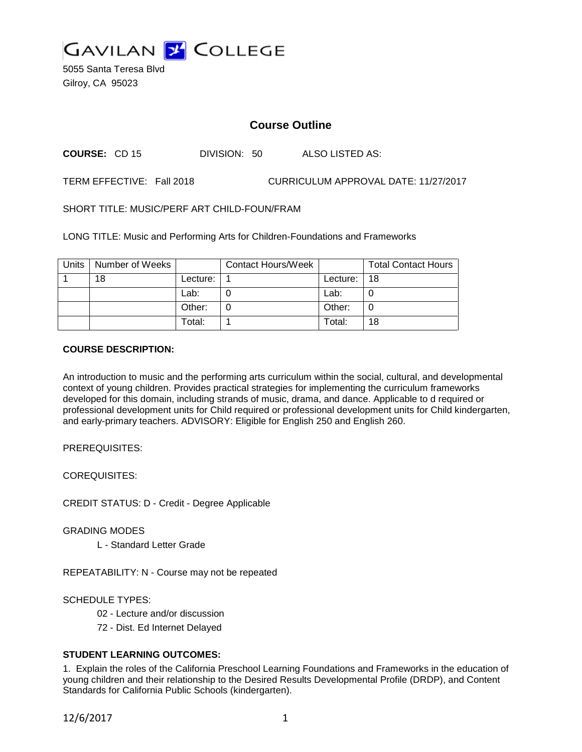

5055 Santa Teresa Blvd Gilroy, CA 95023

# **Course Outline**

**COURSE:** CD 15 DIVISION: 50 ALSO LISTED AS:

TERM EFFECTIVE: Fall 2018 CURRICULUM APPROVAL DATE: 11/27/2017

SHORT TITLE: MUSIC/PERF ART CHILD-FOUN/FRAM

LONG TITLE: Music and Performing Arts for Children-Foundations and Frameworks

| Units | Number of Weeks |            | <b>Contact Hours/Week</b> |          | <b>Total Contact Hours</b> |
|-------|-----------------|------------|---------------------------|----------|----------------------------|
|       | 18              | Lecture: . |                           | Lecture: | -18                        |
|       |                 | Lab:       |                           | Lab:     |                            |
|       |                 | Other:     |                           | Other:   |                            |
|       |                 | Total:     |                           | Total:   | 18                         |

## **COURSE DESCRIPTION:**

An introduction to music and the performing arts curriculum within the social, cultural, and developmental context of young children. Provides practical strategies for implementing the curriculum frameworks developed for this domain, including strands of music, drama, and dance. Applicable to d required or professional development units for Child required or professional development units for Child kindergarten, and early-primary teachers. ADVISORY: Eligible for English 250 and English 260.

PREREQUISITES:

COREQUISITES:

CREDIT STATUS: D - Credit - Degree Applicable

GRADING MODES

L - Standard Letter Grade

REPEATABILITY: N - Course may not be repeated

SCHEDULE TYPES:

- 02 Lecture and/or discussion
- 72 Dist. Ed Internet Delayed

## **STUDENT LEARNING OUTCOMES:**

1. Explain the roles of the California Preschool Learning Foundations and Frameworks in the education of young children and their relationship to the Desired Results Developmental Profile (DRDP), and Content Standards for California Public Schools (kindergarten).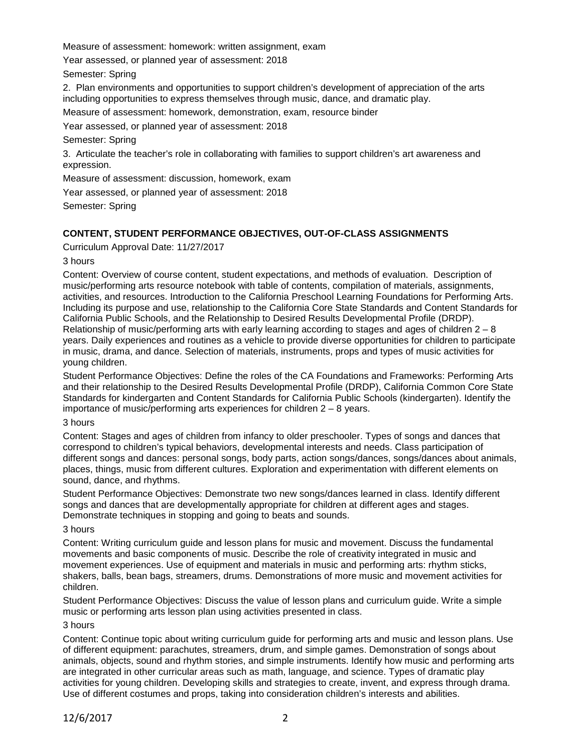Measure of assessment: homework: written assignment, exam

Year assessed, or planned year of assessment: 2018

Semester: Spring

2. Plan environments and opportunities to support children's development of appreciation of the arts including opportunities to express themselves through music, dance, and dramatic play.

Measure of assessment: homework, demonstration, exam, resource binder

Year assessed, or planned year of assessment: 2018

Semester: Spring

3. Articulate the teacher's role in collaborating with families to support children's art awareness and expression.

Measure of assessment: discussion, homework, exam

Year assessed, or planned year of assessment: 2018

Semester: Spring

## **CONTENT, STUDENT PERFORMANCE OBJECTIVES, OUT-OF-CLASS ASSIGNMENTS**

Curriculum Approval Date: 11/27/2017

3 hours

Content: Overview of course content, student expectations, and methods of evaluation. Description of music/performing arts resource notebook with table of contents, compilation of materials, assignments, activities, and resources. Introduction to the California Preschool Learning Foundations for Performing Arts. Including its purpose and use, relationship to the California Core State Standards and Content Standards for California Public Schools, and the Relationship to Desired Results Developmental Profile (DRDP). Relationship of music/performing arts with early learning according to stages and ages of children  $2 - 8$ years. Daily experiences and routines as a vehicle to provide diverse opportunities for children to participate in music, drama, and dance. Selection of materials, instruments, props and types of music activities for young children.

Student Performance Objectives: Define the roles of the CA Foundations and Frameworks: Performing Arts and their relationship to the Desired Results Developmental Profile (DRDP), California Common Core State Standards for kindergarten and Content Standards for California Public Schools (kindergarten). Identify the importance of music/performing arts experiences for children 2 – 8 years.

### 3 hours

Content: Stages and ages of children from infancy to older preschooler. Types of songs and dances that correspond to children's typical behaviors, developmental interests and needs. Class participation of different songs and dances: personal songs, body parts, action songs/dances, songs/dances about animals, places, things, music from different cultures. Exploration and experimentation with different elements on sound, dance, and rhythms.

Student Performance Objectives: Demonstrate two new songs/dances learned in class. Identify different songs and dances that are developmentally appropriate for children at different ages and stages. Demonstrate techniques in stopping and going to beats and sounds.

### 3 hours

Content: Writing curriculum guide and lesson plans for music and movement. Discuss the fundamental movements and basic components of music. Describe the role of creativity integrated in music and movement experiences. Use of equipment and materials in music and performing arts: rhythm sticks, shakers, balls, bean bags, streamers, drums. Demonstrations of more music and movement activities for children.

Student Performance Objectives: Discuss the value of lesson plans and curriculum guide. Write a simple music or performing arts lesson plan using activities presented in class.

## 3 hours

Content: Continue topic about writing curriculum guide for performing arts and music and lesson plans. Use of different equipment: parachutes, streamers, drum, and simple games. Demonstration of songs about animals, objects, sound and rhythm stories, and simple instruments. Identify how music and performing arts are integrated in other curricular areas such as math, language, and science. Types of dramatic play activities for young children. Developing skills and strategies to create, invent, and express through drama. Use of different costumes and props, taking into consideration children's interests and abilities.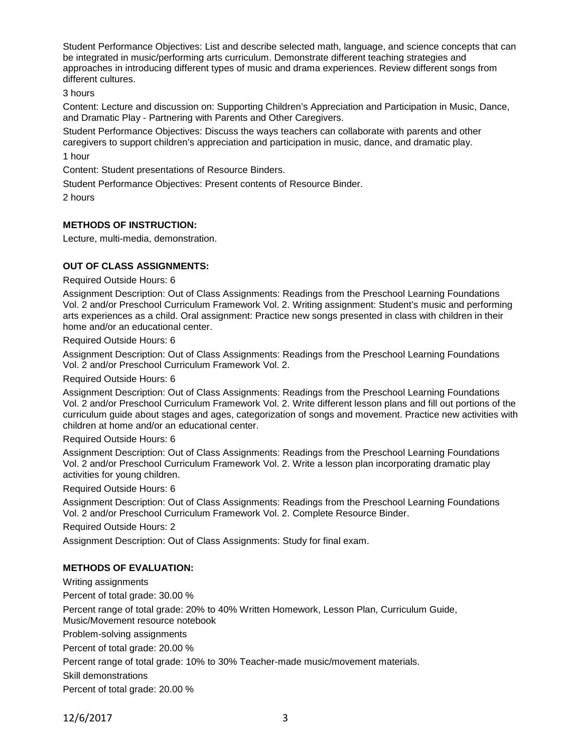Student Performance Objectives: List and describe selected math, language, and science concepts that can be integrated in music/performing arts curriculum. Demonstrate different teaching strategies and approaches in introducing different types of music and drama experiences. Review different songs from different cultures.

3 hours

Content: Lecture and discussion on: Supporting Children's Appreciation and Participation in Music, Dance, and Dramatic Play - Partnering with Parents and Other Caregivers.

Student Performance Objectives: Discuss the ways teachers can collaborate with parents and other caregivers to support children's appreciation and participation in music, dance, and dramatic play. 1 hour

Content: Student presentations of Resource Binders.

Student Performance Objectives: Present contents of Resource Binder.

2 hours

## **METHODS OF INSTRUCTION:**

Lecture, multi-media, demonstration.

## **OUT OF CLASS ASSIGNMENTS:**

### Required Outside Hours: 6

Assignment Description: Out of Class Assignments: Readings from the Preschool Learning Foundations Vol. 2 and/or Preschool Curriculum Framework Vol. 2. Writing assignment: Student's music and performing arts experiences as a child. Oral assignment: Practice new songs presented in class with children in their home and/or an educational center.

Required Outside Hours: 6

Assignment Description: Out of Class Assignments: Readings from the Preschool Learning Foundations Vol. 2 and/or Preschool Curriculum Framework Vol. 2.

#### Required Outside Hours: 6

Assignment Description: Out of Class Assignments: Readings from the Preschool Learning Foundations Vol. 2 and/or Preschool Curriculum Framework Vol. 2. Write different lesson plans and fill out portions of the curriculum guide about stages and ages, categorization of songs and movement. Practice new activities with children at home and/or an educational center.

#### Required Outside Hours: 6

Assignment Description: Out of Class Assignments: Readings from the Preschool Learning Foundations Vol. 2 and/or Preschool Curriculum Framework Vol. 2. Write a lesson plan incorporating dramatic play activities for young children.

### Required Outside Hours: 6

Assignment Description: Out of Class Assignments: Readings from the Preschool Learning Foundations Vol. 2 and/or Preschool Curriculum Framework Vol. 2. Complete Resource Binder.

Required Outside Hours: 2

Assignment Description: Out of Class Assignments: Study for final exam.

### **METHODS OF EVALUATION:**

Writing assignments

Percent of total grade: 30.00 %

Percent range of total grade: 20% to 40% Written Homework, Lesson Plan, Curriculum Guide, Music/Movement resource notebook

Problem-solving assignments

Percent of total grade: 20.00 %

Percent range of total grade: 10% to 30% Teacher-made music/movement materials.

Skill demonstrations

Percent of total grade: 20.00 %

12/6/2017 3